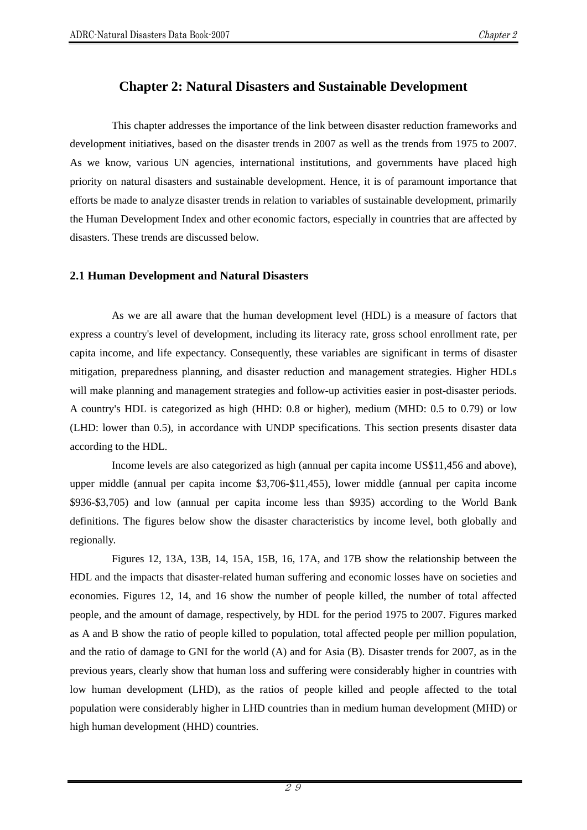# **Chapter 2: Natural Disasters and Sustainable Development**

This chapter addresses the importance of the link between disaster reduction frameworks and development initiatives, based on the disaster trends in 2007 as well as the trends from 1975 to 2007. As we know, various UN agencies, international institutions, and governments have placed high priority on natural disasters and sustainable development. Hence, it is of paramount importance that efforts be made to analyze disaster trends in relation to variables of sustainable development, primarily the Human Development Index and other economic factors, especially in countries that are affected by disasters. These trends are discussed below.

#### **2.1 Human Development and Natural Disasters**

As we are all aware that the human development level (HDL) is a measure of factors that express a country's level of development, including its literacy rate, gross school enrollment rate, per capita income, and life expectancy. Consequently, these variables are significant in terms of disaster mitigation, preparedness planning, and disaster reduction and management strategies. Higher HDLs will make planning and management strategies and follow-up activities easier in post-disaster periods. A country's HDL is categorized as high (HHD: 0.8 or higher), medium (MHD: 0.5 to 0.79) or low (LHD: lower than 0.5), in accordance with UNDP specifications. This section presents disaster data according to the HDL.

Income levels are also categorized as high (annual per capita income US\$11,456 and above), upper middle (annual per capita income \$3,706-\$11,455), lower middle (annual per capita income \$936-\$3,705) and low (annual per capita income less than \$935) according to the World Bank definitions. The figures below show the disaster characteristics by income level, both globally and regionally.

Figures 12, 13A, 13B, 14, 15A, 15B, 16, 17A, and 17B show the relationship between the HDL and the impacts that disaster-related human suffering and economic losses have on societies and economies. Figures 12, 14, and 16 show the number of people killed, the number of total affected people, and the amount of damage, respectively, by HDL for the period 1975 to 2007. Figures marked as A and B show the ratio of people killed to population, total affected people per million population, and the ratio of damage to GNI for the world (A) and for Asia (B). Disaster trends for 2007, as in the previous years, clearly show that human loss and suffering were considerably higher in countries with low human development (LHD), as the ratios of people killed and people affected to the total population were considerably higher in LHD countries than in medium human development (MHD) or high human development (HHD) countries.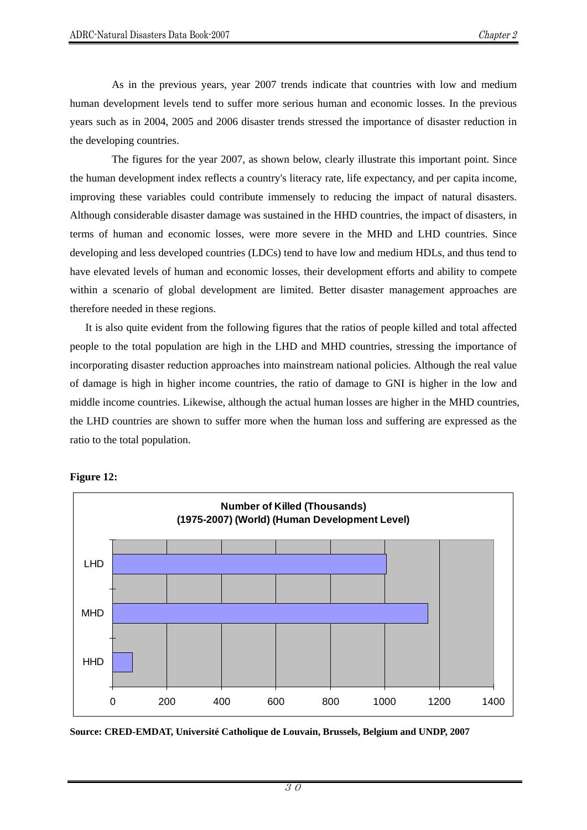As in the previous years, year 2007 trends indicate that countries with low and medium human development levels tend to suffer more serious human and economic losses. In the previous years such as in 2004, 2005 and 2006 disaster trends stressed the importance of disaster reduction in the developing countries.

The figures for the year 2007, as shown below, clearly illustrate this important point. Since the human development index reflects a country's literacy rate, life expectancy, and per capita income, improving these variables could contribute immensely to reducing the impact of natural disasters. Although considerable disaster damage was sustained in the HHD countries, the impact of disasters, in terms of human and economic losses, were more severe in the MHD and LHD countries. Since developing and less developed countries (LDCs) tend to have low and medium HDLs, and thus tend to have elevated levels of human and economic losses, their development efforts and ability to compete within a scenario of global development are limited. Better disaster management approaches are therefore needed in these regions.

It is also quite evident from the following figures that the ratios of people killed and total affected people to the total population are high in the LHD and MHD countries, stressing the importance of incorporating disaster reduction approaches into mainstream national policies. Although the real value of damage is high in higher income countries, the ratio of damage to GNI is higher in the low and middle income countries. Likewise, although the actual human losses are higher in the MHD countries, the LHD countries are shown to suffer more when the human loss and suffering are expressed as the ratio to the total population.



#### **Figure 12:**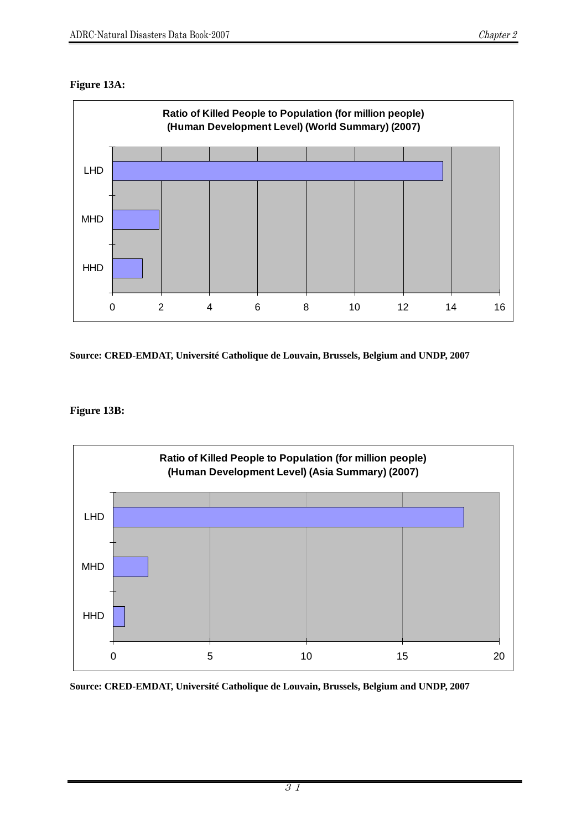### **Figure 13A:**



**Source: CRED-EMDAT, Université Catholique de Louvain, Brussels, Belgium and UNDP, 2007** 

# **Figure 13B:**

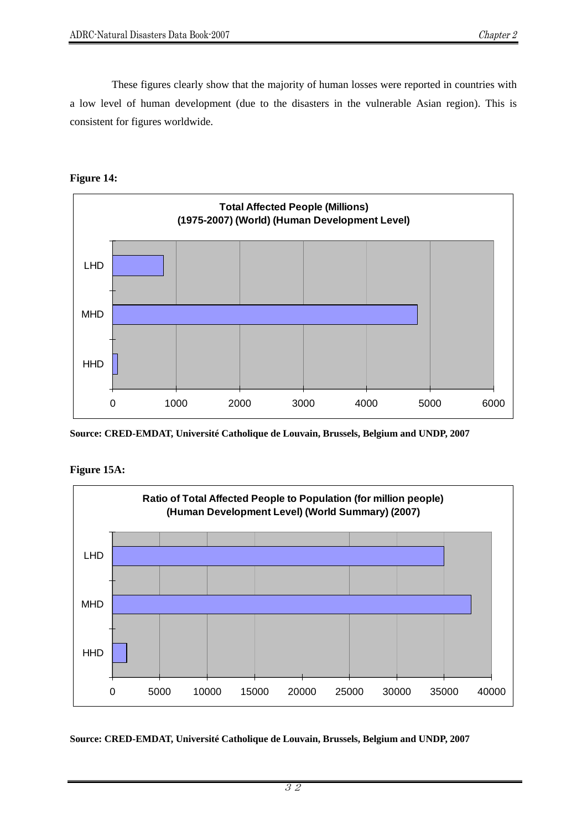These figures clearly show that the majority of human losses were reported in countries with a low level of human development (due to the disasters in the vulnerable Asian region). This is consistent for figures worldwide.



**Figure 14:**

**Source: CRED-EMDAT, Université Catholique de Louvain, Brussels, Belgium and UNDP, 2007** 



**Figure 15A:**

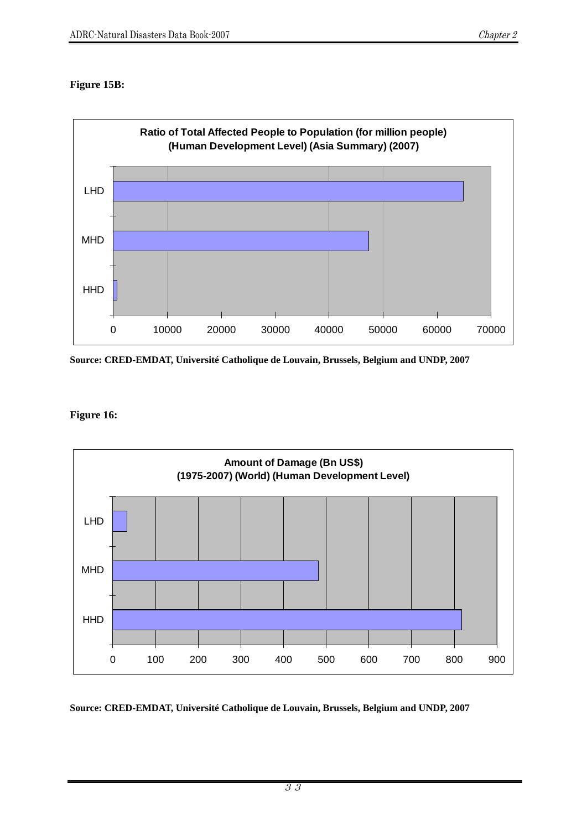### **Figure 15B:**



**Source: CRED-EMDAT, Université Catholique de Louvain, Brussels, Belgium and UNDP, 2007** 

## **Figure 16:**

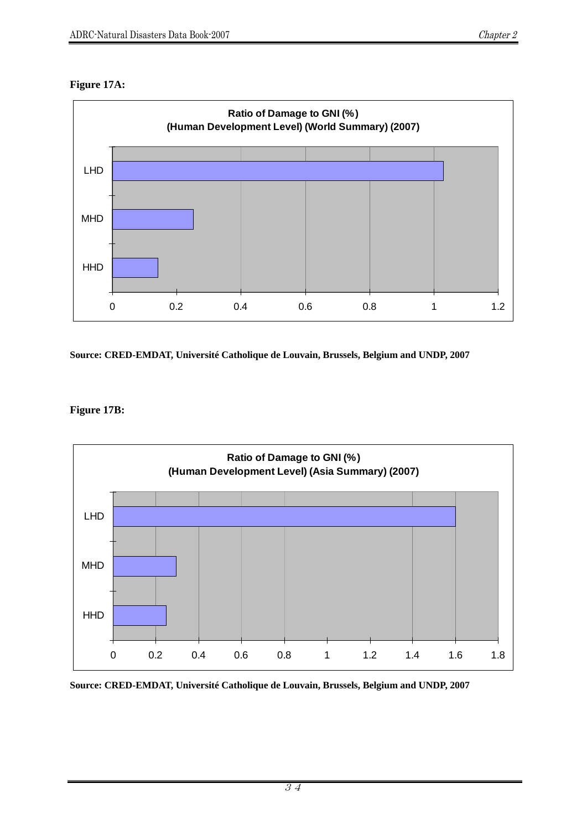#### **Figure 17A:**



**Source: CRED-EMDAT, Université Catholique de Louvain, Brussels, Belgium and UNDP, 2007** 

#### **Figure 17B:**

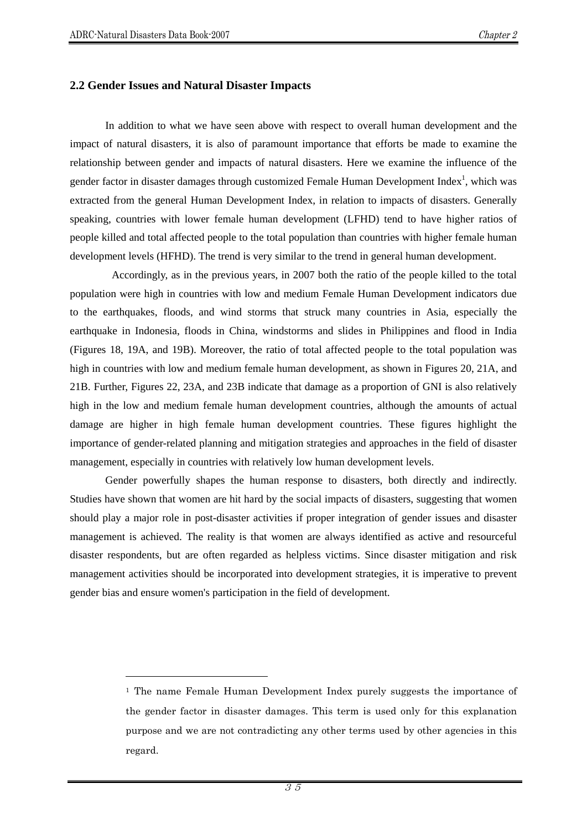$\overline{a}$ 

#### **2.2 Gender Issues and Natural Disaster Impacts**

In addition to what we have seen above with respect to overall human development and the impact of natural disasters, it is also of paramount importance that efforts be made to examine the relationship between gender and impacts of natural disasters. Here we examine the influence of the gender factor in disaster damages through customized Female Human Development Index<sup>1</sup>, which was extracted from the general Human Development Index, in relation to impacts of disasters. Generally speaking, countries with lower female human development (LFHD) tend to have higher ratios of people killed and total affected people to the total population than countries with higher female human development levels (HFHD). The trend is very similar to the trend in general human development.

 Accordingly, as in the previous years, in 2007 both the ratio of the people killed to the total population were high in countries with low and medium Female Human Development indicators due to the earthquakes, floods, and wind storms that struck many countries in Asia, especially the earthquake in Indonesia, floods in China, windstorms and slides in Philippines and flood in India (Figures 18, 19A, and 19B). Moreover, the ratio of total affected people to the total population was high in countries with low and medium female human development, as shown in Figures 20, 21A, and 21B. Further, Figures 22, 23A, and 23B indicate that damage as a proportion of GNI is also relatively high in the low and medium female human development countries, although the amounts of actual damage are higher in high female human development countries. These figures highlight the importance of gender-related planning and mitigation strategies and approaches in the field of disaster management, especially in countries with relatively low human development levels.

Gender powerfully shapes the human response to disasters, both directly and indirectly. Studies have shown that women are hit hard by the social impacts of disasters, suggesting that women should play a major role in post-disaster activities if proper integration of gender issues and disaster management is achieved. The reality is that women are always identified as active and resourceful disaster respondents, but are often regarded as helpless victims. Since disaster mitigation and risk management activities should be incorporated into development strategies, it is imperative to prevent gender bias and ensure women's participation in the field of development.

<sup>1</sup> The name Female Human Development Index purely suggests the importance of the gender factor in disaster damages. This term is used only for this explanation purpose and we are not contradicting any other terms used by other agencies in this regard.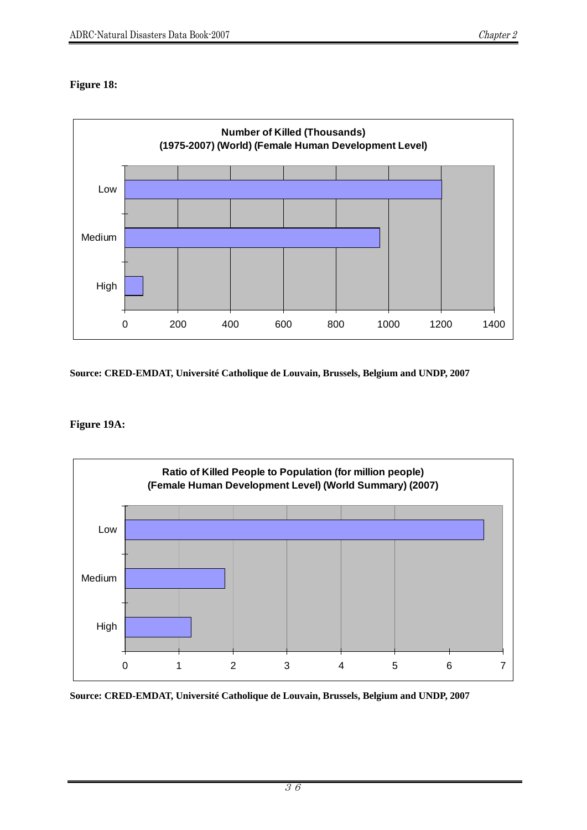## **Figure 18:**



**Source: CRED-EMDAT, Université Catholique de Louvain, Brussels, Belgium and UNDP, 2007** 

#### **Figure 19A:**

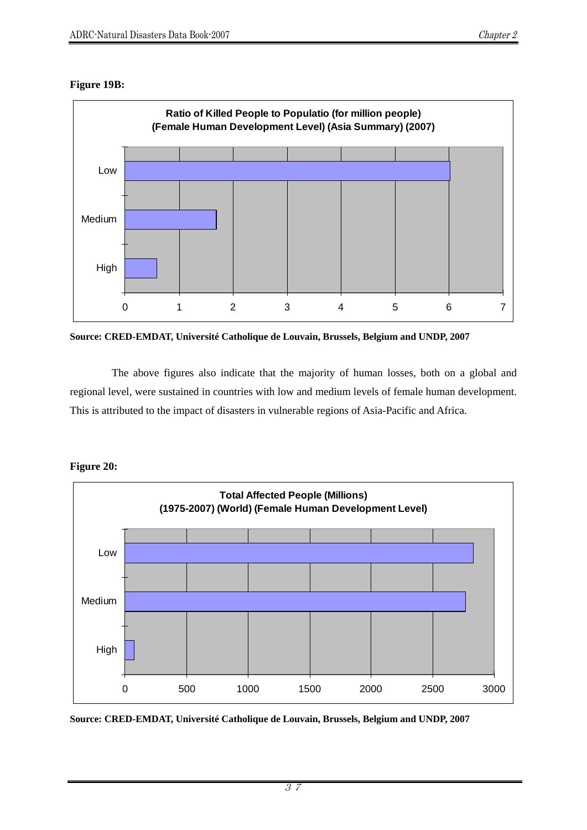#### **Figure 19B:**



**Source: CRED-EMDAT, Université Catholique de Louvain, Brussels, Belgium and UNDP, 2007** 

The above figures also indicate that the majority of human losses, both on a global and regional level, were sustained in countries with low and medium levels of female human development. This is attributed to the impact of disasters in vulnerable regions of Asia-Pacific and Africa.



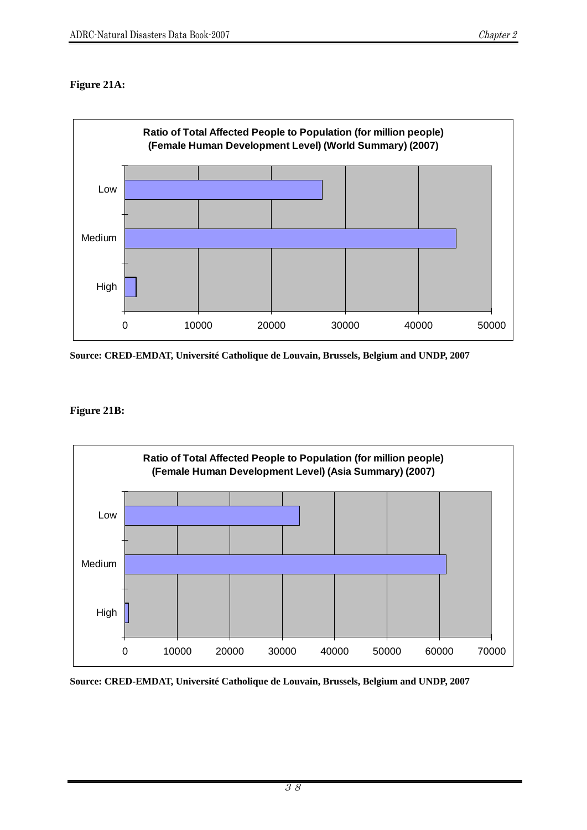# **Figure 21A:**



**Source: CRED-EMDAT, Université Catholique de Louvain, Brussels, Belgium and UNDP, 2007** 

#### **Figure 21B:**

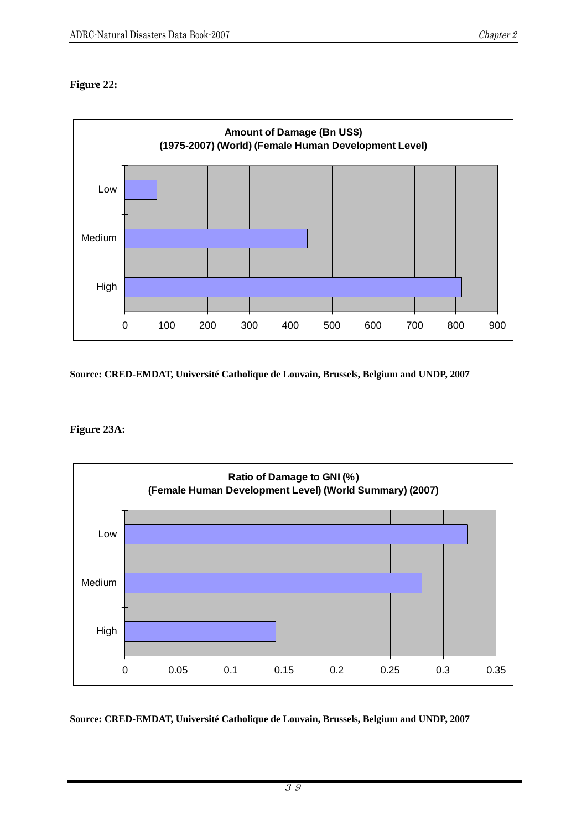## **Figure 22:**



**Source: CRED-EMDAT, Université Catholique de Louvain, Brussels, Belgium and UNDP, 2007** 

#### **Figure 23A:**

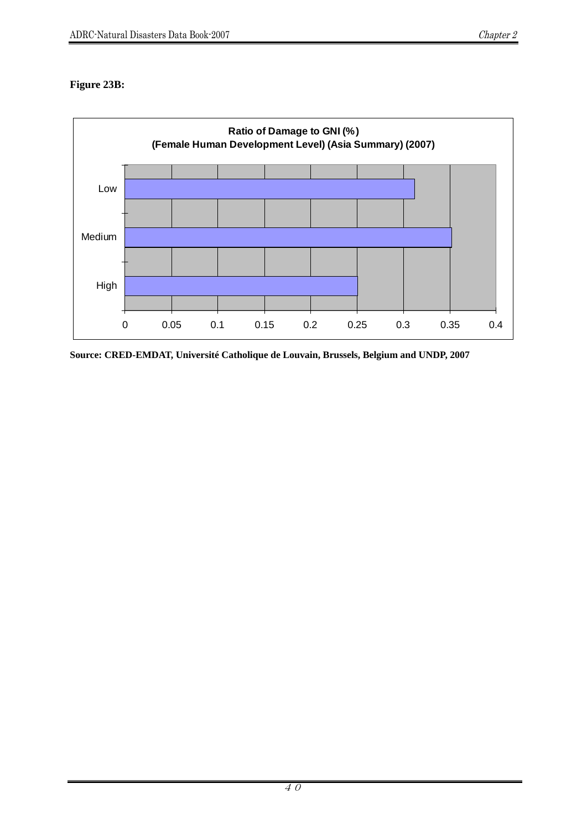## **Figure 23B:**

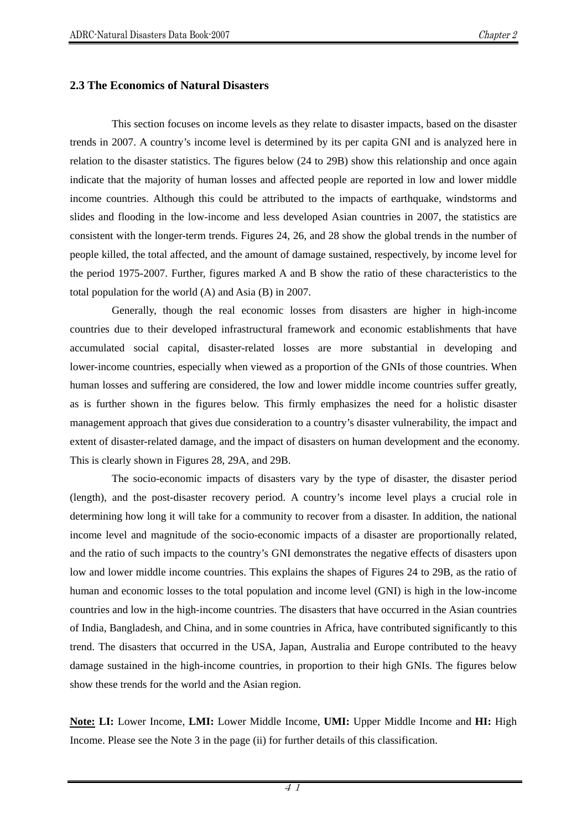#### **2.3 The Economics of Natural Disasters**

This section focuses on income levels as they relate to disaster impacts, based on the disaster trends in 2007. A country's income level is determined by its per capita GNI and is analyzed here in relation to the disaster statistics. The figures below (24 to 29B) show this relationship and once again indicate that the majority of human losses and affected people are reported in low and lower middle income countries. Although this could be attributed to the impacts of earthquake, windstorms and slides and flooding in the low-income and less developed Asian countries in 2007, the statistics are consistent with the longer-term trends. Figures 24, 26, and 28 show the global trends in the number of people killed, the total affected, and the amount of damage sustained, respectively, by income level for the period 1975-2007. Further, figures marked A and B show the ratio of these characteristics to the total population for the world (A) and Asia (B) in 2007.

Generally, though the real economic losses from disasters are higher in high-income countries due to their developed infrastructural framework and economic establishments that have accumulated social capital, disaster-related losses are more substantial in developing and lower-income countries, especially when viewed as a proportion of the GNIs of those countries. When human losses and suffering are considered, the low and lower middle income countries suffer greatly, as is further shown in the figures below. This firmly emphasizes the need for a holistic disaster management approach that gives due consideration to a country's disaster vulnerability, the impact and extent of disaster-related damage, and the impact of disasters on human development and the economy. This is clearly shown in Figures 28, 29A, and 29B.

The socio-economic impacts of disasters vary by the type of disaster, the disaster period (length), and the post-disaster recovery period. A country's income level plays a crucial role in determining how long it will take for a community to recover from a disaster. In addition, the national income level and magnitude of the socio-economic impacts of a disaster are proportionally related, and the ratio of such impacts to the country's GNI demonstrates the negative effects of disasters upon low and lower middle income countries. This explains the shapes of Figures 24 to 29B, as the ratio of human and economic losses to the total population and income level (GNI) is high in the low-income countries and low in the high-income countries. The disasters that have occurred in the Asian countries of India, Bangladesh, and China, and in some countries in Africa, have contributed significantly to this trend. The disasters that occurred in the USA, Japan, Australia and Europe contributed to the heavy damage sustained in the high-income countries, in proportion to their high GNIs. The figures below show these trends for the world and the Asian region.

**Note: LI:** Lower Income, **LMI:** Lower Middle Income, **UMI:** Upper Middle Income and **HI:** High Income. Please see the Note 3 in the page (ii) for further details of this classification.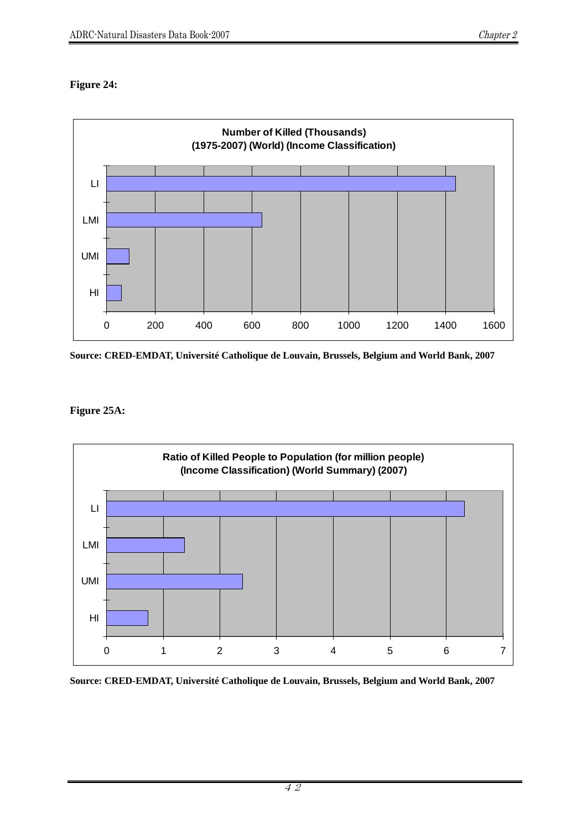# **Figure 24:**



**Source: CRED-EMDAT, Université Catholique de Louvain, Brussels, Belgium and World Bank, 2007** 

#### **Figure 25A:**

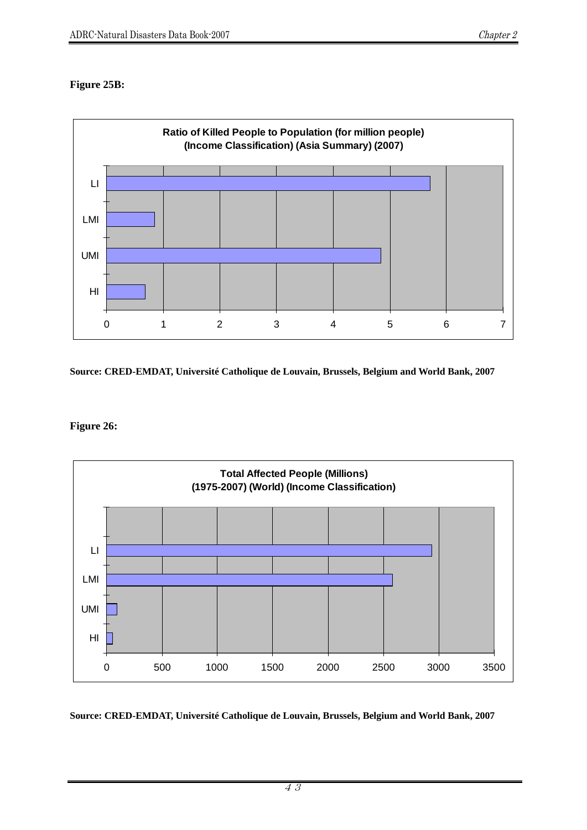### **Figure 25B:**



**Source: CRED-EMDAT, Université Catholique de Louvain, Brussels, Belgium and World Bank, 2007** 

**Figure 26:** 

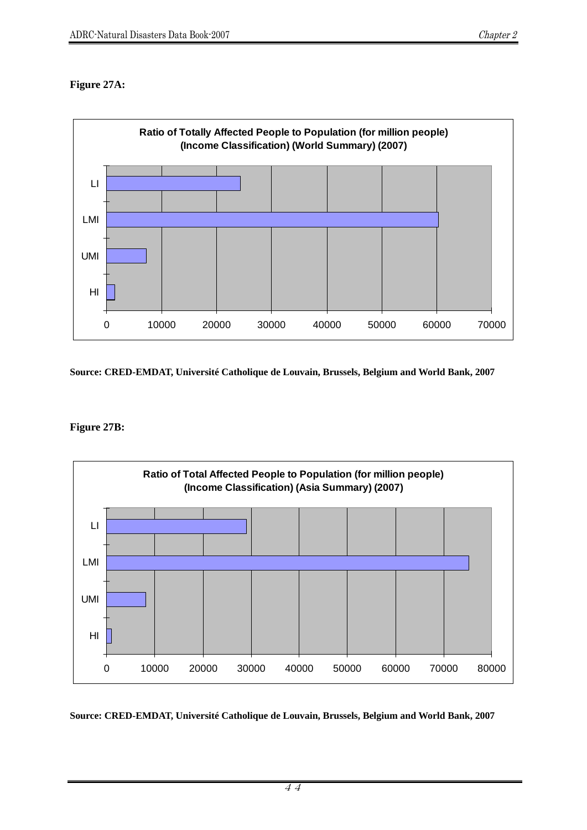# **Figure 27A:**



**Source: CRED-EMDAT, Université Catholique de Louvain, Brussels, Belgium and World Bank, 2007** 

#### **Figure 27B:**

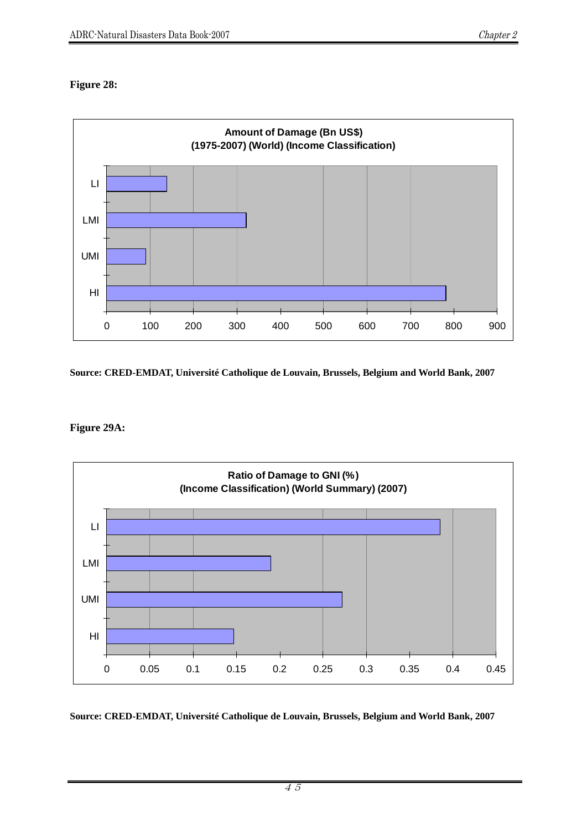## **Figure 28:**



**Source: CRED-EMDAT, Université Catholique de Louvain, Brussels, Belgium and World Bank, 2007** 

#### **Figure 29A:**

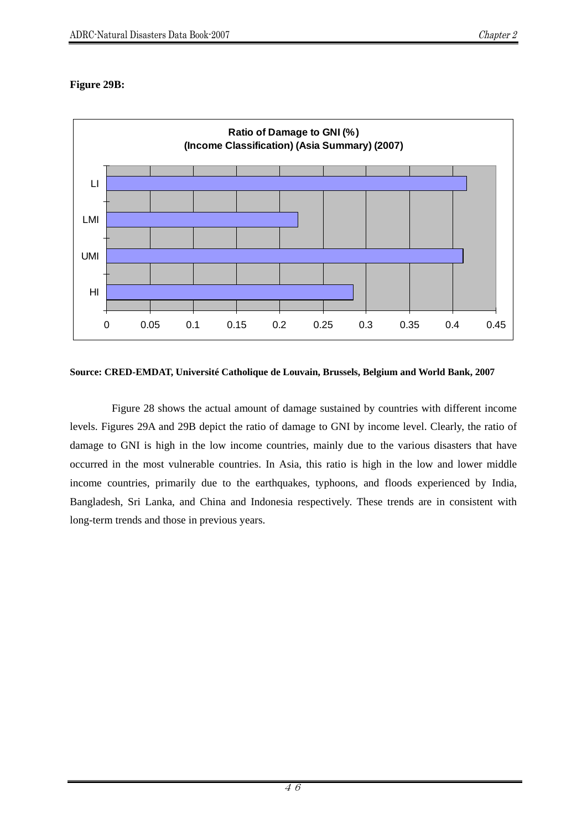## **Figure 29B:**



**Source: CRED-EMDAT, Université Catholique de Louvain, Brussels, Belgium and World Bank, 2007** 

Figure 28 shows the actual amount of damage sustained by countries with different income levels. Figures 29A and 29B depict the ratio of damage to GNI by income level. Clearly, the ratio of damage to GNI is high in the low income countries, mainly due to the various disasters that have occurred in the most vulnerable countries. In Asia, this ratio is high in the low and lower middle income countries, primarily due to the earthquakes, typhoons, and floods experienced by India, Bangladesh, Sri Lanka, and China and Indonesia respectively. These trends are in consistent with long-term trends and those in previous years.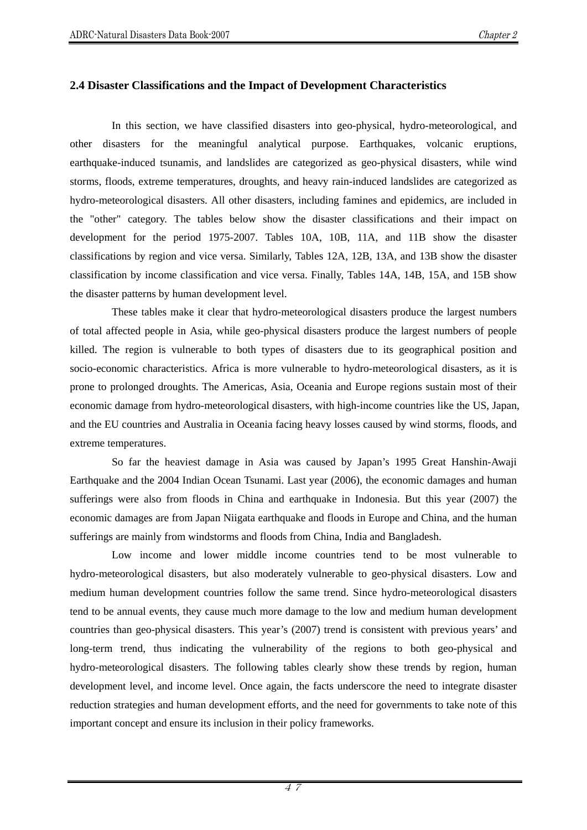#### **2.4 Disaster Classifications and the Impact of Development Characteristics**

In this section, we have classified disasters into geo-physical, hydro-meteorological, and other disasters for the meaningful analytical purpose. Earthquakes, volcanic eruptions, earthquake-induced tsunamis, and landslides are categorized as geo-physical disasters, while wind storms, floods, extreme temperatures, droughts, and heavy rain-induced landslides are categorized as hydro-meteorological disasters. All other disasters, including famines and epidemics, are included in the "other" category. The tables below show the disaster classifications and their impact on development for the period 1975-2007. Tables 10A, 10B, 11A, and 11B show the disaster classifications by region and vice versa. Similarly, Tables 12A, 12B, 13A, and 13B show the disaster classification by income classification and vice versa. Finally, Tables 14A, 14B, 15A, and 15B show the disaster patterns by human development level.

These tables make it clear that hydro-meteorological disasters produce the largest numbers of total affected people in Asia, while geo-physical disasters produce the largest numbers of people killed. The region is vulnerable to both types of disasters due to its geographical position and socio-economic characteristics. Africa is more vulnerable to hydro-meteorological disasters, as it is prone to prolonged droughts. The Americas, Asia, Oceania and Europe regions sustain most of their economic damage from hydro-meteorological disasters, with high-income countries like the US, Japan, and the EU countries and Australia in Oceania facing heavy losses caused by wind storms, floods, and extreme temperatures.

So far the heaviest damage in Asia was caused by Japan's 1995 Great Hanshin-Awaji Earthquake and the 2004 Indian Ocean Tsunami. Last year (2006), the economic damages and human sufferings were also from floods in China and earthquake in Indonesia. But this year (2007) the economic damages are from Japan Niigata earthquake and floods in Europe and China, and the human sufferings are mainly from windstorms and floods from China, India and Bangladesh.

Low income and lower middle income countries tend to be most vulnerable to hydro-meteorological disasters, but also moderately vulnerable to geo-physical disasters. Low and medium human development countries follow the same trend. Since hydro-meteorological disasters tend to be annual events, they cause much more damage to the low and medium human development countries than geo-physical disasters. This year's (2007) trend is consistent with previous years' and long-term trend, thus indicating the vulnerability of the regions to both geo-physical and hydro-meteorological disasters. The following tables clearly show these trends by region, human development level, and income level. Once again, the facts underscore the need to integrate disaster reduction strategies and human development efforts, and the need for governments to take note of this important concept and ensure its inclusion in their policy frameworks.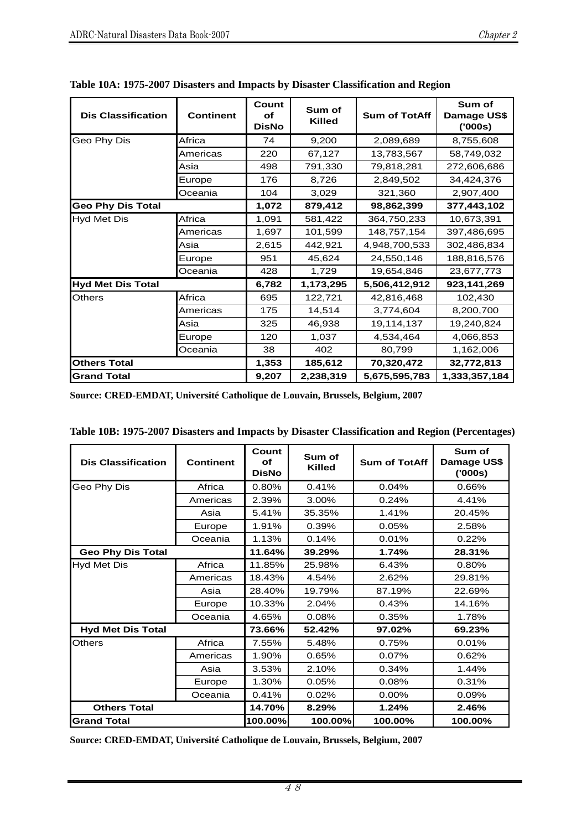| <b>Dis Classification</b> | <b>Continent</b> | Count<br>Οf<br><b>DisNo</b> | Sum of<br><b>Killed</b> | <b>Sum of TotAff</b> | Sum of<br>Damage US\$<br>(000s) |
|---------------------------|------------------|-----------------------------|-------------------------|----------------------|---------------------------------|
| Geo Phy Dis               | Africa           | 74                          | 9,200                   | 2,089,689            | 8,755,608                       |
|                           | Americas         | 220                         | 67,127                  | 13,783,567           | 58,749,032                      |
|                           | Asia             | 498                         | 791,330                 | 79,818,281           | 272,606,686                     |
|                           | Europe           | 176                         | 8,726                   | 2,849,502            | 34,424,376                      |
|                           | Oceania          | 104                         | 3,029                   | 321,360              | 2,907,400                       |
| <b>Geo Phy Dis Total</b>  |                  | 1,072                       | 879,412                 | 98,862,399           | 377,443,102                     |
| <b>Hyd Met Dis</b>        | Africa           | 1,091                       | 581,422                 | 364,750,233          | 10,673,391                      |
|                           | Americas         | 1,697                       | 101,599                 | 148,757,154          | 397,486,695                     |
|                           | Asia             | 2,615                       | 442,921                 | 4,948,700,533        | 302,486,834                     |
|                           | Europe           | 951                         | 45,624                  | 24,550,146           | 188,816,576                     |
|                           | Oceania          | 428                         | 1,729                   | 19,654,846           | 23,677,773                      |
| <b>Hyd Met Dis Total</b>  |                  | 6,782                       | 1,173,295               | 5,506,412,912        | 923,141,269                     |
| <b>Others</b>             | Africa           | 695                         | 122,721                 | 42,816,468           | 102,430                         |
|                           | Americas         | 175                         | 14,514                  | 3,774,604            | 8,200,700                       |
|                           | Asia             | 325                         | 46,938                  | 19,114,137           | 19,240,824                      |
|                           | Europe           | 120                         | 1,037                   | 4,534,464            | 4,066,853                       |
|                           | Oceania          | 38                          | 402                     | 80,799               | 1,162,006                       |
| <b>Others Total</b>       |                  | 1,353                       | 185,612                 | 70,320,472           | 32,772,813                      |
| <b>Grand Total</b>        |                  | 9,207                       | 2,238,319               | 5,675,595,783        | 1,333,357,184                   |

| Table 10A: 1975-2007 Disasters and Impacts by Disaster Classification and Region |  |  |  |
|----------------------------------------------------------------------------------|--|--|--|
|                                                                                  |  |  |  |

| Table 10B: 1975-2007 Disasters and Impacts by Disaster Classification and Region (Percentages) |  |  |  |
|------------------------------------------------------------------------------------------------|--|--|--|
|------------------------------------------------------------------------------------------------|--|--|--|

| <b>Dis Classification</b> | <b>Continent</b> | Count<br>Οf<br><b>DisNo</b> | Sum of<br><b>Killed</b> | <b>Sum of TotAff</b> | Sum of<br>Damage US\$<br>(000s) |
|---------------------------|------------------|-----------------------------|-------------------------|----------------------|---------------------------------|
| Geo Phy Dis               | Africa           | 0.80%                       | 0.41%                   | 0.04%                | 0.66%                           |
|                           | Americas         | 2.39%                       | 3.00%                   | 0.24%                | 4.41%                           |
|                           | Asia             | 5.41%                       | 35.35%                  | 1.41%                | 20.45%                          |
|                           | Europe           | 1.91%                       | 0.39%                   | 0.05%                | 2.58%                           |
|                           | Oceania          | 1.13%                       | 0.14%                   | 0.01%                | 0.22%                           |
| <b>Geo Phy Dis Total</b>  |                  | 11.64%                      | 39.29%                  | 1.74%                | 28.31%                          |
| Hyd Met Dis               | Africa           | 11.85%                      | 25.98%                  | 6.43%                | 0.80%                           |
|                           | Americas         | 18.43%                      | 4.54%                   | 2.62%                | 29.81%                          |
|                           | Asia             | 28.40%                      | 19.79%                  | 87.19%               | 22.69%                          |
|                           | Europe           | 10.33%                      | 2.04%                   | 0.43%                | 14.16%                          |
|                           | Oceania          | 4.65%                       | 0.08%                   | 0.35%                | 1.78%                           |
| <b>Hyd Met Dis Total</b>  |                  | 73.66%                      | 52.42%                  | 97.02%               | 69.23%                          |
| <b>Others</b>             | Africa           | 7.55%                       | 5.48%                   | 0.75%                | 0.01%                           |
|                           | Americas         | 1.90%                       | 0.65%                   | 0.07%                | 0.62%                           |
|                           | Asia             | 3.53%                       | 2.10%                   | 0.34%                | 1.44%                           |
|                           | Europe           | 1.30%                       | 0.05%                   | 0.08%                | 0.31%                           |
|                           | Oceania          | 0.41%                       | 0.02%                   | 0.00%                | 0.09%                           |
| <b>Others Total</b>       |                  | 14.70%                      | 8.29%                   | 1.24%                | 2.46%                           |
| <b>Grand Total</b>        |                  | 100.00%                     | 100.00%                 | 100.00%              | 100.00%                         |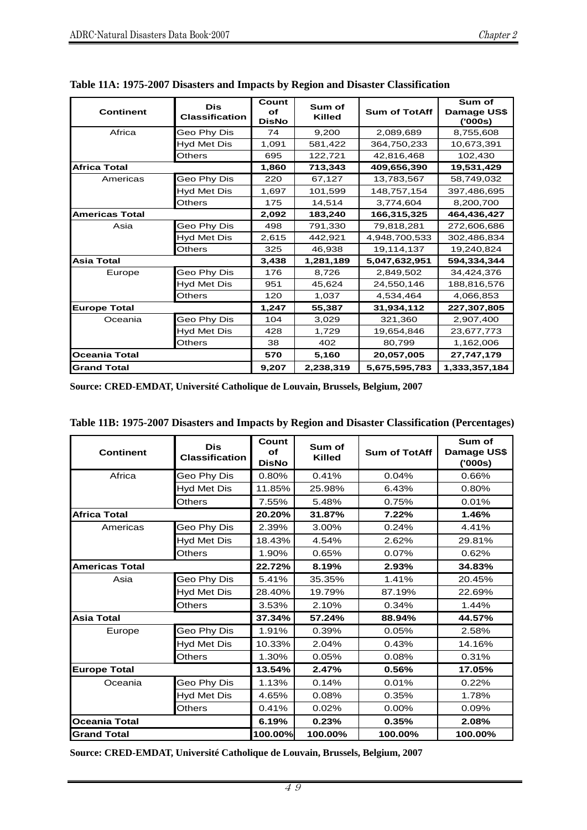| <b>Continent</b>      | Dis<br><b>Classification</b> | Count<br>оf<br><b>DisNo</b> | Sum of<br>Killed | <b>Sum of TotAff</b> | Sum of<br>Damage US\$<br>(000s) |
|-----------------------|------------------------------|-----------------------------|------------------|----------------------|---------------------------------|
| Africa                | Geo Phy Dis                  | 74                          | 9,200            | 2,089,689            | 8,755,608                       |
|                       | Hyd Met Dis                  | 1,091                       | 581,422          | 364,750,233          | 10,673,391                      |
|                       | Others                       | 695                         | 122,721          | 42,816,468           | 102,430                         |
| <b>Africa Total</b>   |                              | 1,860                       | 713,343          | 409,656,390          | 19,531,429                      |
| Americas              | Geo Phy Dis                  | 220                         | 67,127           | 13,783,567           | 58,749,032                      |
|                       | Hyd Met Dis                  | 1,697                       | 101,599          | 148,757,154          | 397,486,695                     |
|                       | Others                       | 175                         | 14,514           | 3,774,604            | 8,200,700                       |
| <b>Americas Total</b> |                              | 2,092                       | 183,240          | 166,315,325          | 464,436,427                     |
| Asia                  | Geo Phy Dis                  | 498                         | 791,330          | 79,818,281           | 272,606,686                     |
|                       | Hyd Met Dis                  | 2,615                       | 442,921          | 4,948,700,533        | 302,486,834                     |
|                       | Others                       | 325                         | 46,938           | 19,114,137           | 19,240,824                      |
| <b>Asia Total</b>     |                              | 3,438                       | 1,281,189        | 5,047,632,951        | 594,334,344                     |
| Europe                | Geo Phy Dis                  | 176                         | 8,726            | 2,849,502            | 34,424,376                      |
|                       | Hyd Met Dis                  | 951                         | 45,624           | 24,550,146           | 188,816,576                     |
|                       | Others                       | 120                         | 1,037            | 4,534,464            | 4,066,853                       |
| <b>Europe Total</b>   |                              | 1,247                       | 55,387           | 31,934,112           | 227,307,805                     |
| Oceania               | Geo Phy Dis                  | 104                         | 3,029            | 321,360              | 2,907,400                       |
|                       | Hyd Met Dis                  | 428                         | 1,729            | 19,654,846           | 23,677,773                      |
|                       | Others                       | 38                          | 402              | 80,799               | 1,162,006                       |
| <b>Oceania Total</b>  |                              | 570                         | 5,160            | 20,057,005           | 27,747,179                      |
| <b>Grand Total</b>    |                              | 9,207                       | 2,238,319        | 5,675,595,783        | 1,333,357,184                   |

|  |  |  | Table 11A: 1975-2007 Disasters and Impacts by Region and Disaster Classification |
|--|--|--|----------------------------------------------------------------------------------|
|  |  |  |                                                                                  |

| <b>Continent</b>      | <b>Dis</b><br><b>Classification</b> |         | Sum of<br><b>Killed</b> | <b>Sum of TotAff</b> | Sum of<br>Damage US\$<br>(000s) |
|-----------------------|-------------------------------------|---------|-------------------------|----------------------|---------------------------------|
| Africa                | Geo Phy Dis                         | 0.80%   | 0.41%                   | 0.04%                | 0.66%                           |
|                       | Hyd Met Dis                         | 11.85%  | 25.98%                  | 6.43%                | 0.80%                           |
|                       | Others                              | 7.55%   | 5.48%                   | 0.75%                | 0.01%                           |
| <b>Africa Total</b>   |                                     | 20.20%  | 31.87%                  | 7.22%                | 1.46%                           |
| Americas              | Geo Phy Dis                         | 2.39%   | 3.00%                   | 0.24%                | 4.41%                           |
|                       | Hyd Met Dis                         | 18.43%  | 4.54%                   | 2.62%                | 29.81%                          |
|                       | <b>Others</b>                       | 1.90%   | 0.65%                   | 0.07%                | 0.62%                           |
| <b>Americas Total</b> |                                     | 22.72%  | 8.19%                   | 2.93%                | 34.83%                          |
| Asia                  | Geo Phy Dis                         | 5.41%   | 35.35%                  | 1.41%                | 20.45%                          |
|                       | Hyd Met Dis                         | 28.40%  | 19.79%                  | 87.19%               | 22.69%                          |
|                       | <b>Others</b>                       | 3.53%   | 2.10%                   | 0.34%                | 1.44%                           |
| <b>Asia Total</b>     |                                     | 37.34%  | 57.24%                  | 88.94%               | 44.57%                          |
| Europe                | Geo Phy Dis                         | 1.91%   | 0.39%                   | 0.05%                | 2.58%                           |
|                       | <b>Hyd Met Dis</b>                  | 10.33%  | 2.04%                   | 0.43%                | 14.16%                          |
|                       | Others                              | 1.30%   | 0.05%                   | 0.08%                | 0.31%                           |
| <b>Europe Total</b>   |                                     | 13.54%  | 2.47%                   | 0.56%                | 17.05%                          |
| Oceania               | Geo Phy Dis                         | 1.13%   | 0.14%                   | 0.01%                | 0.22%                           |
|                       | Hyd Met Dis                         | 4.65%   | 0.08%                   | 0.35%                | 1.78%                           |
|                       | Others                              | 0.41%   | 0.02%                   | 0.00%                | 0.09%                           |
| <b>Oceania Total</b>  |                                     | 6.19%   | 0.23%                   | 0.35%                | 2.08%                           |
| <b>Grand Total</b>    |                                     | 100.00% | 100.00%                 | 100.00%              | 100.00%                         |

|  |  |  | Table 11B: 1975-2007 Disasters and Impacts by Region and Disaster Classification (Percentages) |
|--|--|--|------------------------------------------------------------------------------------------------|
|--|--|--|------------------------------------------------------------------------------------------------|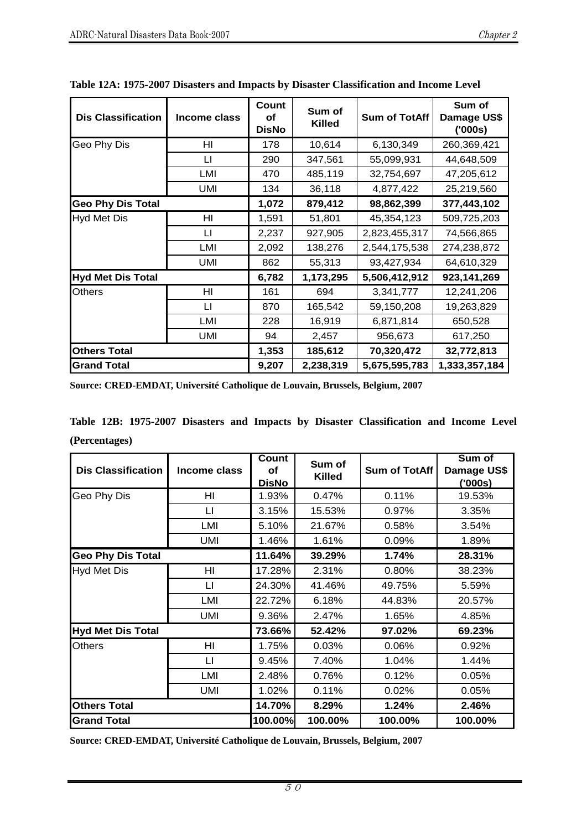| <b>Dis Classification</b> | Income class | Count<br>οf<br><b>DisNo</b> | Sum of<br><b>Killed</b> | <b>Sum of TotAff</b> | Sum of<br>Damage US\$<br>(000s) |
|---------------------------|--------------|-----------------------------|-------------------------|----------------------|---------------------------------|
| Geo Phy Dis               | HI           | 178                         | 10,614                  | 6,130,349            | 260,369,421                     |
|                           | LI           | 290                         | 347,561                 | 55,099,931           | 44,648,509                      |
|                           | LMI          | 470                         | 485,119                 | 32,754,697           | 47,205,612                      |
|                           | <b>UMI</b>   | 134                         | 36,118                  | 4,877,422            | 25,219,560                      |
| <b>Geo Phy Dis Total</b>  |              | 1,072                       | 879,412                 | 98,862,399           | 377,443,102                     |
| <b>Hyd Met Dis</b>        | HI           | 1,591                       | 51,801                  | 45,354,123           | 509,725,203                     |
|                           | Ħ            | 2,237                       | 927,905                 | 2,823,455,317        | 74,566,865                      |
|                           | LMI          | 2,092                       | 138,276                 | 2,544,175,538        | 274,238,872                     |
|                           | UMI          | 862                         | 55,313                  | 93,427,934           | 64,610,329                      |
| <b>Hyd Met Dis Total</b>  |              | 6,782                       | 1,173,295               | 5,506,412,912        | 923,141,269                     |
| <b>Others</b>             | HI           | 161                         | 694                     | 3,341,777            | 12,241,206                      |
|                           | Ħ            | 870                         | 165,542                 | 59,150,208           | 19,263,829                      |
|                           | LMI          | 228                         | 16,919                  | 6,871,814            | 650,528                         |
|                           | <b>UMI</b>   | 94                          | 2,457                   | 956,673              | 617,250                         |
| <b>Others Total</b>       |              | 1,353                       | 185,612                 | 70,320,472           | 32,772,813                      |
| <b>Grand Total</b>        |              | 9,207                       | 2,238,319               | 5,675,595,783        | 1,333,357,184                   |

|  |  |  |  | Table 12A: 1975-2007 Disasters and Impacts by Disaster Classification and Income Level |  |
|--|--|--|--|----------------------------------------------------------------------------------------|--|
|  |  |  |  |                                                                                        |  |
|  |  |  |  |                                                                                        |  |

|               |  |  |  | Table 12B: 1975-2007 Disasters and Impacts by Disaster Classification and Income Level |  |  |
|---------------|--|--|--|----------------------------------------------------------------------------------------|--|--|
| (Percentages) |  |  |  |                                                                                        |  |  |

| <b>Dis Classification</b> | Income class   | <b>Count</b><br>οf<br><b>DisNo</b> | Sum of<br><b>Killed</b> | Sum of TotAff | Sum of<br>Damage US\$<br>('000s) |
|---------------------------|----------------|------------------------------------|-------------------------|---------------|----------------------------------|
| Geo Phy Dis               | H <sub>l</sub> | 1.93%                              | 0.47%                   | 0.11%         | 19.53%                           |
|                           | LI             | 3.15%                              | 15.53%                  | 0.97%         | 3.35%                            |
|                           | LMI            | 5.10%                              | 21.67%                  | 0.58%         | 3.54%                            |
|                           | UMI            | 1.46%                              | 1.61%                   | 0.09%         | 1.89%                            |
| <b>Geo Phy Dis Total</b>  |                | 11.64%                             | 39.29%                  | 1.74%         | 28.31%                           |
| Hyd Met Dis               | H <sub>l</sub> | 17.28%                             | 2.31%                   | 0.80%         | 38.23%                           |
|                           | LI             | 24.30%                             | 41.46%                  | 49.75%        | 5.59%                            |
|                           | LMI            | 22.72%                             | 6.18%                   | 44.83%        | 20.57%                           |
|                           | UMI            | 9.36%                              | 2.47%                   | 1.65%         | 4.85%                            |
| <b>Hyd Met Dis Total</b>  |                | 73.66%                             | 52.42%                  | 97.02%        | 69.23%                           |
| <b>Others</b>             | HI             | 1.75%                              | 0.03%                   | 0.06%         | 0.92%                            |
|                           | $\mathsf{L}$   | 9.45%                              | 7.40%                   | 1.04%         | 1.44%                            |
|                           | LMI            | 2.48%                              | 0.76%                   | 0.12%         | 0.05%                            |
|                           | <b>UMI</b>     | 1.02%                              | 0.11%                   | 0.02%         | 0.05%                            |
| <b>Others Total</b>       |                | 14.70%                             | 8.29%                   | 1.24%         | 2.46%                            |
| <b>Grand Total</b>        |                | 100.00%                            | 100.00%                 | 100.00%       | 100.00%                          |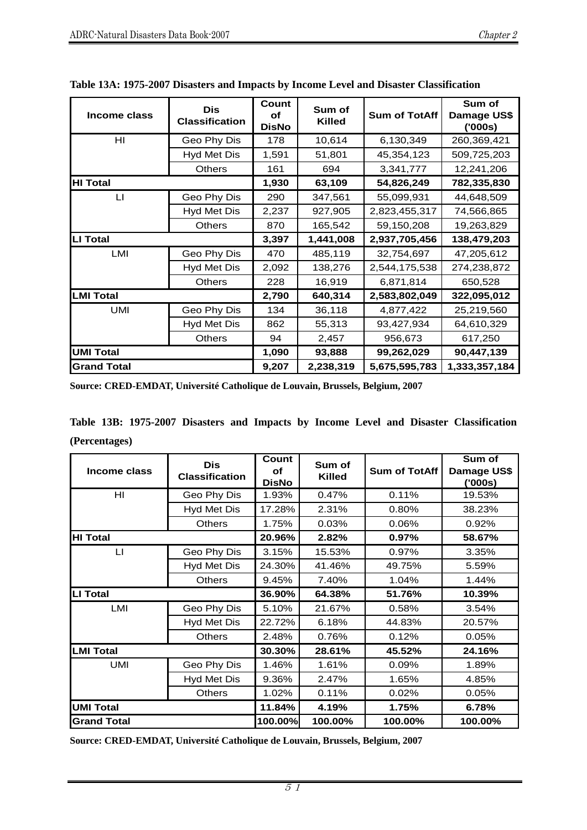| Income class       | <b>Dis</b><br><b>Classification</b> | Count<br>оf<br><b>DisNo</b> | Sum of<br><b>Killed</b> | <b>Sum of TotAff</b> | Sum of<br>Damage US\$<br>('000s) |
|--------------------|-------------------------------------|-----------------------------|-------------------------|----------------------|----------------------------------|
| HI                 | Geo Phy Dis                         | 178                         | 10,614                  | 6,130,349            | 260,369,421                      |
|                    | <b>Hyd Met Dis</b>                  | 1,591                       | 51,801                  | 45,354,123           | 509,725,203                      |
|                    | <b>Others</b>                       | 161                         | 694                     | 3,341,777            | 12,241,206                       |
| <b>HI Total</b>    |                                     | 1,930                       | 63,109                  | 54,826,249           | 782,335,830                      |
| LI                 | Geo Phy Dis                         | 290                         | 347,561                 | 55,099,931           | 44,648,509                       |
|                    | <b>Hyd Met Dis</b>                  | 2,237                       | 927,905                 | 2,823,455,317        | 74,566,865                       |
|                    | <b>Others</b>                       | 870                         | 165,542                 | 59,150,208           | 19,263,829                       |
| <b>LI Total</b>    |                                     | 3,397                       | 1,441,008               | 2,937,705,456        | 138,479,203                      |
| LMI                | Geo Phy Dis                         | 470                         | 485,119                 | 32,754,697           | 47,205,612                       |
|                    | <b>Hyd Met Dis</b>                  | 2,092                       | 138,276                 | 2,544,175,538        | 274,238,872                      |
|                    | <b>Others</b>                       | 228                         | 16,919                  | 6,871,814            | 650,528                          |
| <b>LMI Total</b>   |                                     | 2,790                       | 640,314                 | 2,583,802,049        | 322,095,012                      |
| UMI                | Geo Phy Dis                         | 134                         | 36,118                  | 4,877,422            | 25,219,560                       |
|                    | Hyd Met Dis                         | 862                         | 55,313                  | 93,427,934           | 64,610,329                       |
|                    | <b>Others</b>                       | 94                          | 2,457                   | 956,673              | 617,250                          |
| <b>UMI Total</b>   |                                     | 1,090                       | 93,888                  | 99,262,029           | 90,447,139                       |
| <b>Grand Total</b> |                                     | 9,207                       | 2,238,319               | 5,675,595,783        | 1,333,357,184                    |

**Table 13A: 1975-2007 Disasters and Impacts by Income Level and Disaster Classification** 

|               |  |  |  |  |  | Table 13B: 1975-2007 Disasters and Impacts by Income Level and Disaster Classification |
|---------------|--|--|--|--|--|----------------------------------------------------------------------------------------|
| (Percentages) |  |  |  |  |  |                                                                                        |

| Income class       | <b>Dis</b><br><b>Classification</b> | Count<br><b>of</b><br><b>DisNo</b> | Sum of<br><b>Killed</b> | <b>Sum of TotAff</b> | Sum of<br>Damage US\$<br>(000s) |
|--------------------|-------------------------------------|------------------------------------|-------------------------|----------------------|---------------------------------|
| HI                 | Geo Phy Dis                         | 1.93%                              | 0.47%                   | 0.11%                | 19.53%                          |
|                    | Hyd Met Dis                         | 17.28%                             | 2.31%                   | 0.80%                | 38.23%                          |
|                    | <b>Others</b>                       | 1.75%                              | 0.03%                   | 0.06%                | 0.92%                           |
| <b>HI Total</b>    |                                     | 20.96%                             | 2.82%                   | 0.97%                | 58.67%                          |
| П                  | Geo Phy Dis                         | 3.15%                              | 15.53%                  | 0.97%                | 3.35%                           |
|                    | Hyd Met Dis                         | 24.30%                             | 41.46%                  | 49.75%               | 5.59%                           |
|                    | <b>Others</b>                       | 9.45%                              | 7.40%                   | 1.04%                | 1.44%                           |
| <b>LI Total</b>    |                                     | 36.90%                             | 64.38%                  | 51.76%               | 10.39%                          |
| LMI                | Geo Phy Dis                         | 5.10%                              | 21.67%                  | 0.58%                | 3.54%                           |
|                    | Hyd Met Dis                         | 22.72%                             | 6.18%                   | 44.83%               | 20.57%                          |
|                    | <b>Others</b>                       | 2.48%                              | 0.76%                   | 0.12%                | 0.05%                           |
| <b>LMI Total</b>   |                                     | 30.30%                             | 28.61%                  | 45.52%               | 24.16%                          |
| <b>UMI</b>         | Geo Phy Dis                         | 1.46%                              | 1.61%                   | 0.09%                | 1.89%                           |
|                    | Hyd Met Dis                         | 9.36%                              | 2.47%                   | 1.65%                | 4.85%                           |
|                    | <b>Others</b>                       | 1.02%                              | 0.11%                   | 0.02%                | 0.05%                           |
| <b>UMI Total</b>   | 11.84%                              | 4.19%                              | 1.75%                   | 6.78%                |                                 |
| <b>Grand Total</b> |                                     | 100.00%                            | 100.00%                 | 100.00%              | 100.00%                         |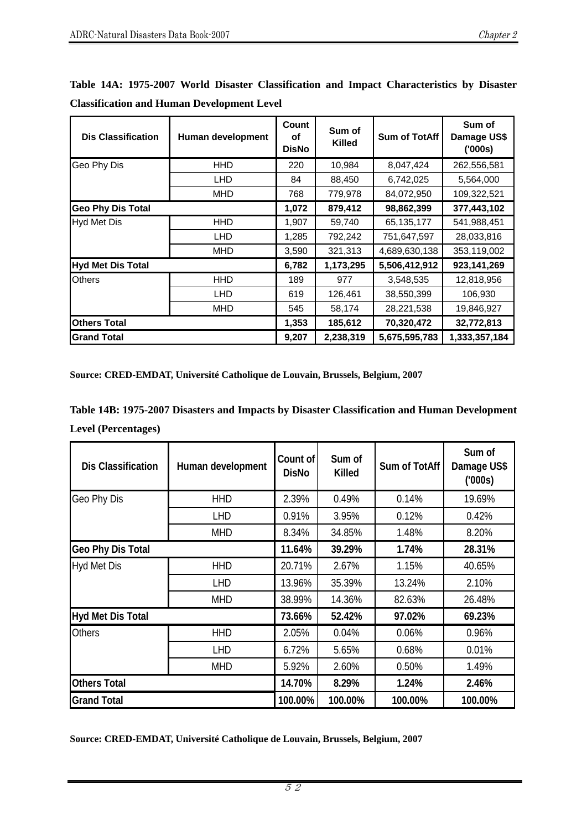| <b>Dis Classification</b> | Human development | Count<br>οf<br><b>DisNo</b> | Sum of<br><b>Killed</b> | <b>Sum of TotAff</b> | Sum of<br>Damage US\$<br>(000s) |
|---------------------------|-------------------|-----------------------------|-------------------------|----------------------|---------------------------------|
| Geo Phy Dis               | <b>HHD</b>        | 220                         | 10,984                  | 8,047,424            | 262,556,581                     |
|                           | LHD               | 84                          | 88,450                  | 6,742,025            | 5,564,000                       |
|                           | <b>MHD</b>        | 768                         | 779,978                 | 84,072,950           | 109,322,521                     |
| <b>Geo Phy Dis Total</b>  | 1,072             | 879,412                     | 98,862,399              | 377,443,102          |                                 |
| <b>Hyd Met Dis</b>        | HHD               | 1,907                       | 59,740                  | 65,135,177           | 541,988,451                     |
|                           | <b>LHD</b>        | 1,285                       | 792,242                 | 751,647,597          | 28,033,816                      |
|                           | <b>MHD</b>        | 3,590                       | 321,313                 | 4,689,630,138        | 353,119,002                     |
| <b>Hyd Met Dis Total</b>  |                   | 6,782                       | 1,173,295               | 5,506,412,912        | 923,141,269                     |
| <b>Others</b>             | <b>HHD</b>        | 189                         | 977                     | 3,548,535            | 12,818,956                      |
|                           | <b>LHD</b>        | 619                         | 126,461                 | 38,550,399           | 106,930                         |
|                           | <b>MHD</b>        | 545                         | 58,174                  | 28,221,538           | 19,846,927                      |
| <b>Others Total</b>       | 1,353             | 185,612                     | 70,320,472              | 32,772,813           |                                 |
| <b>Grand Total</b>        | 9,207             | 2,238,319                   | 5,675,595,783           | 1,333,357,184        |                                 |

**Table 14A: 1975-2007 World Disaster Classification and Impact Characteristics by Disaster Classification and Human Development Level** 

**Table 14B: 1975-2007 Disasters and Impacts by Disaster Classification and Human Development Level (Percentages)** 

| <b>Dis Classification</b> | Count of<br><b>DisNo</b> | Sum of<br><b>Killed</b> | <b>Sum of TotAff</b> | Sum of<br>Damage US\$<br>(000s) |        |
|---------------------------|--------------------------|-------------------------|----------------------|---------------------------------|--------|
| Geo Phy Dis               | 2.39%                    | 0.49%                   | 0.14%                | 19.69%                          |        |
|                           | <b>LHD</b>               | 0.91%                   | 3.95%                | 0.12%                           | 0.42%  |
|                           | <b>MHD</b>               | 8.34%                   | 34.85%               | 1.48%                           | 8.20%  |
| <b>Geo Phy Dis Total</b>  | 11.64%                   | 39.29%                  | 1.74%                | 28.31%                          |        |
| <b>Hyd Met Dis</b>        | <b>HHD</b>               | 20.71%                  | 2.67%                | 1.15%                           | 40.65% |
|                           | <b>LHD</b>               | 13.96%                  | 35.39%               | 13.24%                          | 2.10%  |
|                           | <b>MHD</b>               | 38.99%                  | 14.36%               | 82.63%                          | 26.48% |
| <b>Hyd Met Dis Total</b>  |                          | 73.66%                  | 52.42%               | 97.02%                          | 69.23% |
| <b>Others</b>             | <b>HHD</b>               | 2.05%                   | 0.04%                | 0.06%                           | 0.96%  |
|                           | <b>LHD</b>               | 6.72%                   | 5.65%                | 0.68%                           | 0.01%  |
|                           | <b>MHD</b>               | 5.92%                   | 2.60%                | 0.50%                           | 1.49%  |
| <b>Others Total</b>       | 14.70%                   | 8.29%                   | 1.24%                | 2.46%                           |        |
| <b>Grand Total</b>        | 100.00%                  | 100.00%                 | 100.00%              | 100.00%                         |        |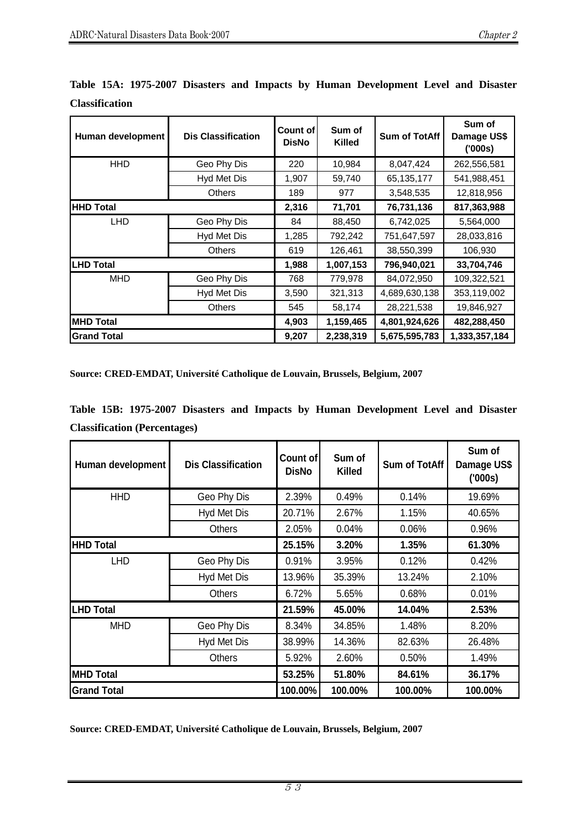| <b>Dis Classification</b><br>Human development |               | Count of l<br><b>DisNo</b> | Sum of<br><b>Killed</b> | <b>Sum of TotAff</b> | Sum of<br>Damage US\$<br>(000s) |
|------------------------------------------------|---------------|----------------------------|-------------------------|----------------------|---------------------------------|
| <b>HHD</b>                                     | Geo Phy Dis   | 220                        | 10,984                  | 8,047,424            | 262,556,581                     |
|                                                | Hyd Met Dis   | 1,907                      | 59,740                  | 65,135,177           | 541,988,451                     |
|                                                | Others        | 189                        | 977                     | 3,548,535            | 12,818,956                      |
| <b>HHD Total</b>                               | 2,316         | 71,701                     | 76,731,136              | 817,363,988          |                                 |
| LHD                                            | Geo Phy Dis   | 84                         | 88,450                  | 6,742,025            | 5,564,000                       |
|                                                | Hyd Met Dis   | 1,285                      | 792,242                 | 751,647,597          | 28,033,816                      |
|                                                | <b>Others</b> | 619                        | 126,461                 | 38,550,399           | 106,930                         |
| <b>LHD Total</b>                               | 1,988         | 1,007,153                  | 796,940,021             | 33,704,746           |                                 |
| <b>MHD</b>                                     | Geo Phy Dis   | 768                        | 779,978                 | 84,072,950           | 109,322,521                     |
|                                                | Hyd Met Dis   | 3,590                      | 321,313                 | 4,689,630,138        | 353,119,002                     |
|                                                | <b>Others</b> | 545                        | 58,174                  | 28,221,538           | 19,846,927                      |
| <b>MHD Total</b>                               | 4,903         | 1,159,465                  | 4,801,924,626           | 482,288,450          |                                 |
| <b>Grand Total</b>                             | 9,207         | 2,238,319                  | 5,675,595,783           | 1,333,357,184        |                                 |

**Table 15A: 1975-2007 Disasters and Impacts by Human Development Level and Disaster Classification** 

|  |                                     |  |  | Table 15B: 1975-2007 Disasters and Impacts by Human Development Level and Disaster |  |  |
|--|-------------------------------------|--|--|------------------------------------------------------------------------------------|--|--|
|  | <b>Classification (Percentages)</b> |  |  |                                                                                    |  |  |

| Human development  | Count of<br><b>DisNo</b> | Sum of<br><b>Killed</b> | <b>Sum of TotAff</b> | Sum of<br>Damage US\$<br>(000s) |         |
|--------------------|--------------------------|-------------------------|----------------------|---------------------------------|---------|
| <b>HHD</b>         | Geo Phy Dis              | 2.39%                   | 0.49%                | 0.14%                           | 19.69%  |
|                    | Hyd Met Dis              | 20.71%                  | 2.67%                | 1.15%                           | 40.65%  |
|                    | <b>Others</b>            | 2.05%                   | 0.04%                | 0.06%                           | 0.96%   |
| <b>HHD Total</b>   | 25.15%                   | 3.20%                   | 1.35%                | 61.30%                          |         |
| <b>LHD</b>         | Geo Phy Dis              | 0.91%                   | 3.95%                | 0.12%                           | 0.42%   |
|                    | Hyd Met Dis              | 13.96%                  | 35.39%               | 13.24%                          | 2.10%   |
|                    | <b>Others</b>            | 6.72%                   | 5.65%                | 0.68%                           | 0.01%   |
| <b>LHD Total</b>   | 21.59%                   | 45.00%                  | 14.04%               | 2.53%                           |         |
| <b>MHD</b>         | Geo Phy Dis              | 8.34%                   | 34.85%               | 1.48%                           | 8.20%   |
|                    | Hyd Met Dis              | 38.99%                  | 14.36%               | 82.63%                          | 26.48%  |
|                    | <b>Others</b>            | 5.92%                   | 2.60%                | 0.50%                           | 1.49%   |
| <b>MHD Total</b>   | 53.25%                   | 51.80%                  | 84.61%               | 36.17%                          |         |
| <b>Grand Total</b> |                          | 100.00%                 | 100.00%              | 100.00%                         | 100.00% |